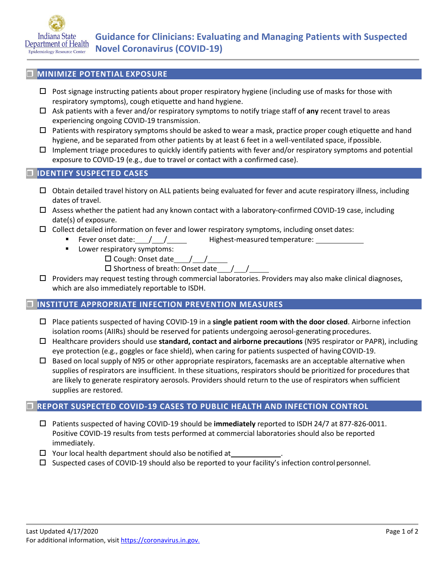

# **MINIMIZE POTENTIAL EXPOSURE**

- $\Box$  Post signage instructing patients about proper respiratory hygiene (including use of masks for those with respiratory symptoms), cough etiquette and hand hygiene.
- Ask patients with a fever and/or respiratory symptoms to notify triage staff of **any** recent travel to areas experiencing ongoing COVID-19 transmission.
- $\Box$  Patients with respiratory symptoms should be asked to wear a mask, practice proper cough etiquette and hand hygiene, and be separated from other patients by at least 6 feet in a well-ventilated space, ifpossible.
- $\Box$  Implement triage procedures to quickly identify patients with fever and/or respiratory symptoms and potential exposure to COVID-19 (e.g., due to travel or contact with a confirmed case).

## **IDENTIFY SUSPECTED CASES**

- $\Box$  Obtain detailed travel history on ALL patients being evaluated for fever and acute respiratory illness, including dates of travel.
- $\Box$  Assess whether the patient had any known contact with a laboratory-confirmed COVID-19 case, including date(s) of exposure.
- $\Box$  Collect detailed information on fever and lower respiratory symptoms, including onset dates:
	- Fever onset date: / / Highest-measured temperature:
	- **Lower respiratory symptoms:** 
		- Cough: Onset date / /
		- $\square$  Shortness of breath: Onset date
- $\Box$  Providers may request testing through commercial laboratories. Providers may also make clinical diagnoses, which are also immediately reportable to ISDH.

#### **INSTITUTE APPROPRIATE INFECTION PREVENTION MEASURES**

- Place patients suspected of having COVID-19 in a **single patient room with the door closed**. Airborne infection isolation rooms (AIIRs) should be reserved for patients undergoing aerosol-generating procedures.
- Healthcare providers should use **standard, contact and airborne precautions** (N95 respirator or PAPR), including eye protection (e.g., goggles or face shield), when caring for patients suspected of havingCOVID-19.
- $\Box$  Based on local supply of N95 or other appropriate respirators, facemasks are an acceptable alternative when supplies of respirators are insufficient. In these situations, respirators should be prioritized for procedures that are likely to generate respiratory aerosols. Providers should return to the use of respirators when sufficient supplies are restored.

#### **REPORT SUSPECTED COVID-19 CASES TO PUBLIC HEALTH AND INFECTION CONTROL**

- Patients suspected of having COVID-19 should be **immediately** reported to ISDH 24/7 at 877-826-0011. Positive COVID-19 results from tests performed at commercial laboratories should also be reported immediately.
- $\Box$  Your local health department should also be notified at
- $\square$  Suspected cases of COVID-19 should also be reported to your facility's infection control personnel.